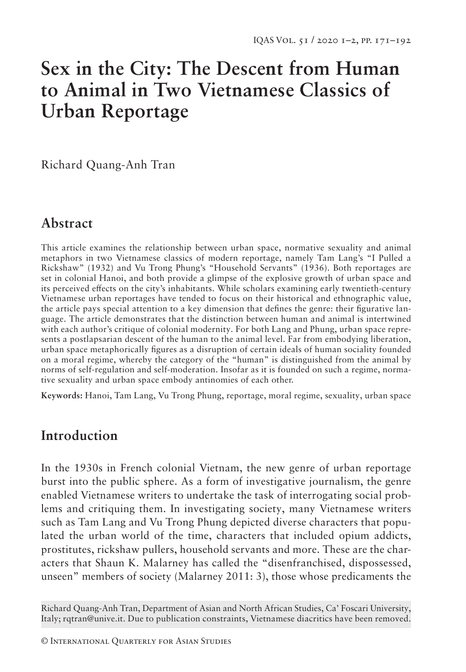# **Sex in the City: The Descent from Human to Animal in Two Vietnamese Classics of Urban Reportage**

Richard Quang-Anh Tran

## **Abstract**

This article examines the relationship between urban space, normative sexuality and animal metaphors in two Vietnamese classics of modern reportage, namely Tam Lang's "I Pulled a Rickshaw" (1932) and Vu Trong Phung's "Household Servants" (1936). Both reportages are set in colonial Hanoi, and both provide a glimpse of the explosive growth of urban space and its perceived effects on the city's inhabitants. While scholars examining early twentieth-century Vietnamese urban reportages have tended to focus on their historical and ethnographic value, the article pays special attention to a key dimension that defines the genre: their figurative language. The article demonstrates that the distinction between human and animal is intertwined with each author's critique of colonial modernity. For both Lang and Phung, urban space represents a postlapsarian descent of the human to the animal level. Far from embodying liberation, urban space metaphorically figures as a disruption of certain ideals of human sociality founded on a moral regime, whereby the category of the "human" is distinguished from the animal by norms of self-regulation and self-moderation. Insofar as it is founded on such a regime, normative sexuality and urban space embody antinomies of each other.

**Keywords:** Hanoi, Tam Lang, Vu Trong Phung, reportage, moral regime, sexuality, urban space

# **Introduction**

In the 1930s in French colonial Vietnam, the new genre of urban reportage burst into the public sphere. As a form of investigative journalism, the genre enabled Vietnamese writers to undertake the task of interrogating social problems and critiquing them. In investigating society, many Vietnamese writers such as Tam Lang and Vu Trong Phung depicted diverse characters that populated the urban world of the time, characters that included opium addicts, prostitutes, rickshaw pullers, household servants and more. These are the characters that Shaun K. Malarney has called the "disenfranchised, dispossessed, unseen" members of society (Malarney 2011: 3), those whose predicaments the

Richard Quang-Anh Tran, Department of Asian and North African Studies, Ca' Foscari University, Italy; rqtran@unive.it. Due to publication constraints, Vietnamese diacritics have been removed.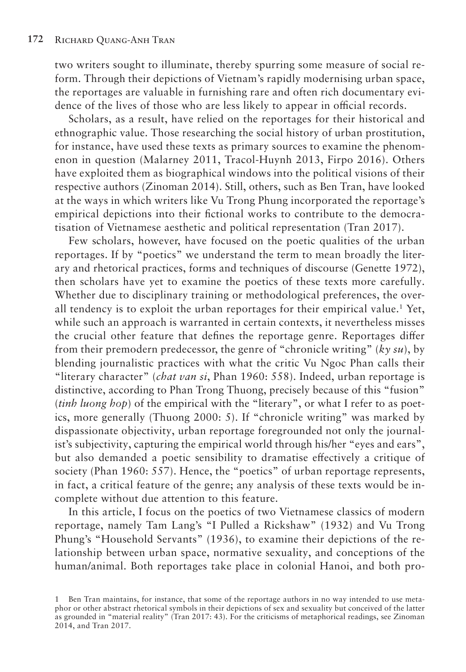two writers sought to illuminate, thereby spurring some measure of social reform. Through their depictions of Vietnam's rapidly modernising urban space, the reportages are valuable in furnishing rare and often rich documentary evidence of the lives of those who are less likely to appear in official records.

Scholars, as a result, have relied on the reportages for their historical and ethnographic value. Those researching the social history of urban prostitution, for instance, have used these texts as primary sources to examine the phenomenon in question (Malarney 2011, Tracol-Huynh 2013, Firpo 2016). Others have exploited them as biographical windows into the political visions of their respective authors (Zinoman 2014). Still, others, such as Ben Tran, have looked at the ways in which writers like Vu Trong Phung incorporated the reportage's empirical depictions into their fictional works to contribute to the democratisation of Vietnamese aesthetic and political representation (Tran 2017).

Few scholars, however, have focused on the poetic qualities of the urban reportages. If by "poetics" we understand the term to mean broadly the literary and rhetorical practices, forms and techniques of discourse (Genette 1972), then scholars have yet to examine the poetics of these texts more carefully. Whether due to disciplinary training or methodological preferences, the overall tendency is to exploit the urban reportages for their empirical value.<sup>1</sup> Yet, while such an approach is warranted in certain contexts, it nevertheless misses the crucial other feature that defines the reportage genre. Reportages differ from their premodern predecessor, the genre of "chronicle writing" (*ky su*), by blending journalistic practices with what the critic Vu Ngoc Phan calls their "literary character" (*chat van si*, Phan 1960: 558). Indeed, urban reportage is distinctive, according to Phan Trong Thuong, precisely because of this "fusion" (*tinh luong hop*) of the empirical with the "literary", or what I refer to as poetics, more generally (Thuong 2000: 5). If "chronicle writing" was marked by dispassionate objectivity, urban reportage foregrounded not only the journalist's subjectivity, capturing the empirical world through his/her "eyes and ears", but also demanded a poetic sensibility to dramatise effectively a critique of society (Phan 1960: 557). Hence, the "poetics" of urban reportage represents, in fact, a critical feature of the genre; any analysis of these texts would be incomplete without due attention to this feature.

In this article, I focus on the poetics of two Vietnamese classics of modern reportage, namely Tam Lang's "I Pulled a Rickshaw" (1932) and Vu Trong Phung's "Household Servants" (1936), to examine their depictions of the relationship between urban space, normative sexuality, and conceptions of the human/animal. Both reportages take place in colonial Hanoi, and both pro-

<sup>1</sup> Ben Tran maintains, for instance, that some of the reportage authors in no way intended to use metaphor or other abstract rhetorical symbols in their depictions of sex and sexuality but conceived of the latter as grounded in "material reality" (Tran 2017: 43). For the criticisms of metaphorical readings, see Zinoman 2014, and Tran 2017.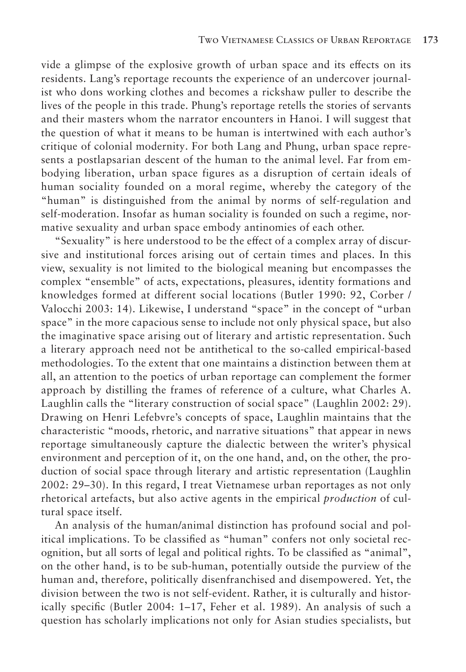vide a glimpse of the explosive growth of urban space and its effects on its residents. Lang's reportage recounts the experience of an undercover journalist who dons working clothes and becomes a rickshaw puller to describe the lives of the people in this trade. Phung's reportage retells the stories of servants and their masters whom the narrator encounters in Hanoi. I will suggest that the question of what it means to be human is intertwined with each author's critique of colonial modernity. For both Lang and Phung, urban space represents a postlapsarian descent of the human to the animal level. Far from embodying liberation, urban space figures as a disruption of certain ideals of human sociality founded on a moral regime, whereby the category of the "human" is distinguished from the animal by norms of self-regulation and self-moderation. Insofar as human sociality is founded on such a regime, normative sexuality and urban space embody antinomies of each other.

"Sexuality" is here understood to be the effect of a complex array of discursive and institutional forces arising out of certain times and places. In this view, sexuality is not limited to the biological meaning but encompasses the complex "ensemble" of acts, expectations, pleasures, identity formations and knowledges formed at different social locations (Butler 1990: 92, Corber / Valocchi 2003: 14). Likewise, I understand "space" in the concept of "urban space" in the more capacious sense to include not only physical space, but also the imaginative space arising out of literary and artistic representation. Such a literary approach need not be antithetical to the so-called empirical-based methodologies. To the extent that one maintains a distinction between them at all, an attention to the poetics of urban reportage can complement the former approach by distilling the frames of reference of a culture, what Charles A. Laughlin calls the "literary construction of social space" (Laughlin 2002: 29). Drawing on Henri Lefebvre's concepts of space, Laughlin maintains that the characteristic "moods, rhetoric, and narrative situations" that appear in news reportage simultaneously capture the dialectic between the writer's physical environment and perception of it, on the one hand, and, on the other, the production of social space through literary and artistic representation (Laughlin 2002: 29–30). In this regard, I treat Vietnamese urban reportages as not only rhetorical artefacts, but also active agents in the empirical *production* of cultural space itself.

An analysis of the human/animal distinction has profound social and political implications. To be classified as "human" confers not only societal recognition, but all sorts of legal and political rights. To be classified as "animal", on the other hand, is to be sub-human, potentially outside the purview of the human and, therefore, politically disenfranchised and disempowered. Yet, the division between the two is not self-evident. Rather, it is culturally and historically specific (Butler 2004: 1–17, Feher et al. 1989). An analysis of such a question has scholarly implications not only for Asian studies specialists, but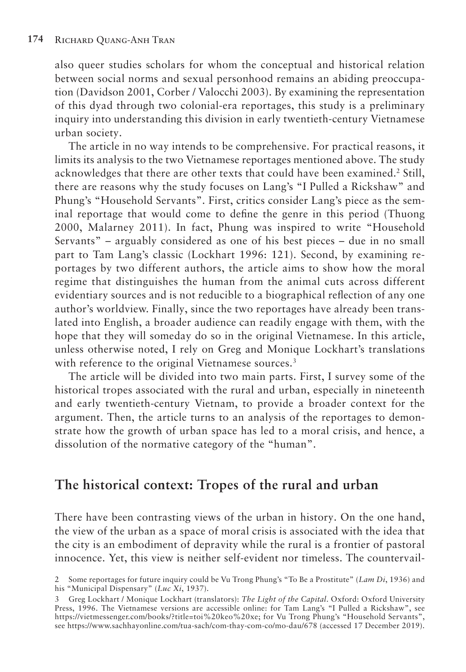also queer studies scholars for whom the conceptual and historical relation between social norms and sexual personhood remains an abiding preoccupation (Davidson 2001, Corber / Valocchi 2003). By examining the representation of this dyad through two colonial-era reportages, this study is a preliminary inquiry into understanding this division in early twentieth-century Vietnamese urban society.

The article in no way intends to be comprehensive. For practical reasons, it limits its analysis to the two Vietnamese reportages mentioned above. The study acknowledges that there are other texts that could have been examined.2 Still, there are reasons why the study focuses on Lang's "I Pulled a Rickshaw" and Phung's "Household Servants". First, critics consider Lang's piece as the seminal reportage that would come to define the genre in this period (Thuong 2000, Malarney 2011). In fact, Phung was inspired to write "Household Servants" – arguably considered as one of his best pieces – due in no small part to Tam Lang's classic (Lockhart 1996: 121). Second, by examining reportages by two different authors, the article aims to show how the moral regime that distinguishes the human from the animal cuts across different evidentiary sources and is not reducible to a biographical reflection of any one author's worldview. Finally, since the two reportages have already been translated into English, a broader audience can readily engage with them, with the hope that they will someday do so in the original Vietnamese. In this article, unless otherwise noted, I rely on Greg and Monique Lockhart's translations with reference to the original Vietnamese sources.<sup>3</sup>

The article will be divided into two main parts. First, I survey some of the historical tropes associated with the rural and urban, especially in nineteenth and early twentieth-century Vietnam, to provide a broader context for the argument. Then, the article turns to an analysis of the reportages to demonstrate how the growth of urban space has led to a moral crisis, and hence, a dissolution of the normative category of the "human".

## **The historical context: Tropes of the rural and urban**

There have been contrasting views of the urban in history. On the one hand, the view of the urban as a space of moral crisis is associated with the idea that the city is an embodiment of depravity while the rural is a frontier of pastoral innocence. Yet, this view is neither self-evident nor timeless. The countervail-

<sup>2</sup> Some reportages for future inquiry could be Vu Trong Phung's "To Be a Prostitute" (*Lam Di*, 1936) and his "Municipal Dispensary" (*Luc Xi*, 1937).

<sup>3</sup> Greg Lockhart / Monique Lockhart (translators): *The Light of the Capital*. Oxford: Oxford University Press, 1996. The Vietnamese versions are accessible online: for Tam Lang's "I Pulled a Rickshaw", see https://vietmessenger.com/books/?title=toi%20keo%20xe; for Vu Trong Phung's "Household Servants", see https://www.sachhayonline.com/tua-sach/com-thay-com-co/mo-dau/678 (accessed 17 December 2019).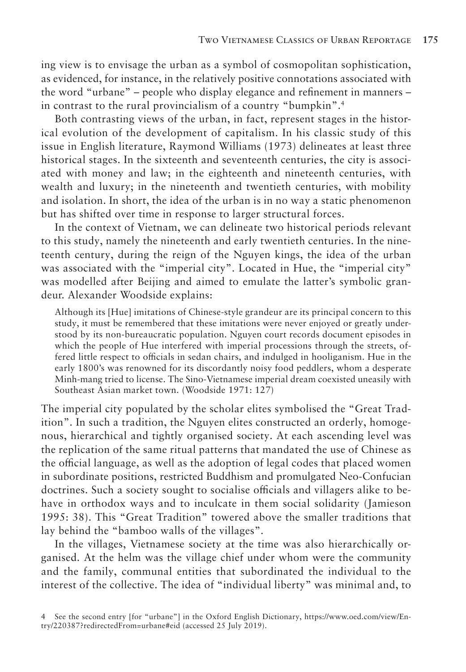ing view is to envisage the urban as a symbol of cosmopolitan sophistication, as evidenced, for instance, in the relatively positive connotations associated with the word "urbane" – people who display elegance and refinement in manners – in contrast to the rural provincialism of a country "bumpkin".<sup>4</sup>

Both contrasting views of the urban, in fact, represent stages in the historical evolution of the development of capitalism. In his classic study of this issue in English literature, Raymond Williams (1973) delineates at least three historical stages. In the sixteenth and seventeenth centuries, the city is associated with money and law; in the eighteenth and nineteenth centuries, with wealth and luxury; in the nineteenth and twentieth centuries, with mobility and isolation. In short, the idea of the urban is in no way a static phenomenon but has shifted over time in response to larger structural forces.

In the context of Vietnam, we can delineate two historical periods relevant to this study, namely the nineteenth and early twentieth centuries. In the nineteenth century, during the reign of the Nguyen kings, the idea of the urban was associated with the "imperial city". Located in Hue, the "imperial city" was modelled after Beijing and aimed to emulate the latter's symbolic grandeur. Alexander Woodside explains:

Although its [Hue] imitations of Chinese-style grandeur are its principal concern to this study, it must be remembered that these imitations were never enjoyed or greatly understood by its non-bureaucratic population. Nguyen court records document episodes in which the people of Hue interfered with imperial processions through the streets, offered little respect to officials in sedan chairs, and indulged in hooliganism. Hue in the early 1800's was renowned for its discordantly noisy food peddlers, whom a desperate Minh-mang tried to license. The Sino-Vietnamese imperial dream coexisted uneasily with Southeast Asian market town. (Woodside 1971: 127)

The imperial city populated by the scholar elites symbolised the "Great Tradition". In such a tradition, the Nguyen elites constructed an orderly, homogenous, hierarchical and tightly organised society. At each ascending level was the replication of the same ritual patterns that mandated the use of Chinese as the official language, as well as the adoption of legal codes that placed women in subordinate positions, restricted Buddhism and promulgated Neo-Confucian doctrines. Such a society sought to socialise officials and villagers alike to behave in orthodox ways and to inculcate in them social solidarity (Jamieson 1995: 38). This "Great Tradition" towered above the smaller traditions that lay behind the "bamboo walls of the villages".

In the villages, Vietnamese society at the time was also hierarchically organised. At the helm was the village chief under whom were the community and the family, communal entities that subordinated the individual to the interest of the collective. The idea of "individual liberty" was minimal and, to

<sup>4</sup> See the second entry [for "urbane"] in the Oxford English Dictionary, https://www.oed.com/view/Entry/220387?redirectedFrom=urbane#eid (accessed 25 July 2019).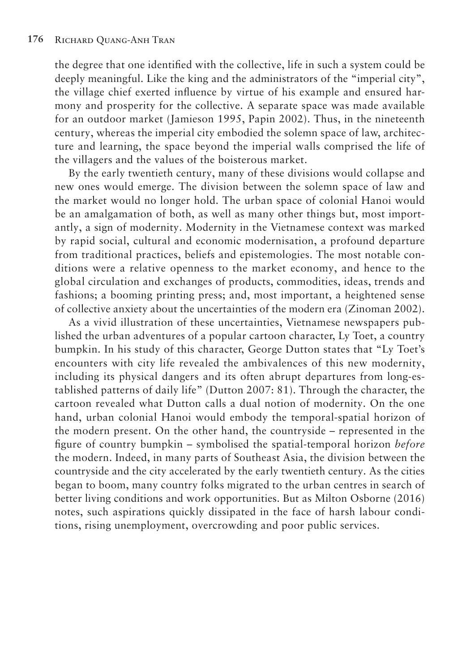the degree that one identified with the collective, life in such a system could be deeply meaningful. Like the king and the administrators of the "imperial city", the village chief exerted influence by virtue of his example and ensured harmony and prosperity for the collective. A separate space was made available for an outdoor market (Jamieson 1995, Papin 2002). Thus, in the nineteenth century, whereas the imperial city embodied the solemn space of law, architecture and learning, the space beyond the imperial walls comprised the life of the villagers and the values of the boisterous market.

By the early twentieth century, many of these divisions would collapse and new ones would emerge. The division between the solemn space of law and the market would no longer hold. The urban space of colonial Hanoi would be an amalgamation of both, as well as many other things but, most importantly, a sign of modernity. Modernity in the Vietnamese context was marked by rapid social, cultural and economic modernisation, a profound departure from traditional practices, beliefs and epistemologies. The most notable conditions were a relative openness to the market economy, and hence to the global circulation and exchanges of products, commodities, ideas, trends and fashions; a booming printing press; and, most important, a heightened sense of collective anxiety about the uncertainties of the modern era (Zinoman 2002).

As a vivid illustration of these uncertainties, Vietnamese newspapers published the urban adventures of a popular cartoon character, Ly Toet, a country bumpkin. In his study of this character, George Dutton states that "Ly Toet's encounters with city life revealed the ambivalences of this new modernity, including its physical dangers and its often abrupt departures from long-established patterns of daily life" (Dutton 2007: 81). Through the character, the cartoon revealed what Dutton calls a dual notion of modernity. On the one hand, urban colonial Hanoi would embody the temporal-spatial horizon of the modern present. On the other hand, the countryside – represented in the figure of country bumpkin – symbolised the spatial-temporal horizon *before*  the modern. Indeed, in many parts of Southeast Asia, the division between the countryside and the city accelerated by the early twentieth century. As the cities began to boom, many country folks migrated to the urban centres in search of better living conditions and work opportunities. But as Milton Osborne (2016) notes, such aspirations quickly dissipated in the face of harsh labour conditions, rising unemployment, overcrowding and poor public services.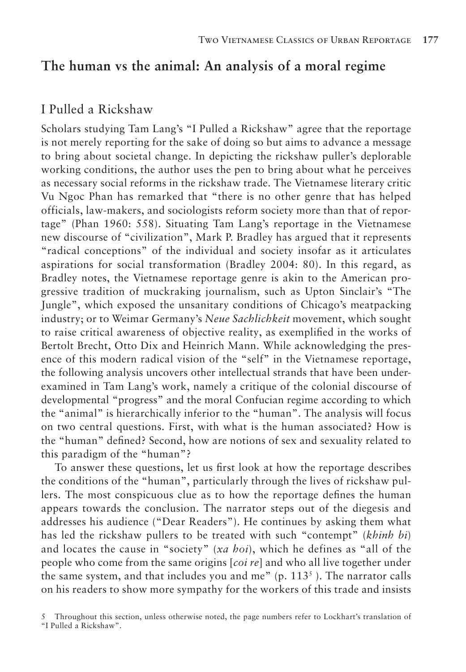### **The human vs the animal: An analysis of a moral regime**

#### I Pulled a Rickshaw

Scholars studying Tam Lang's "I Pulled a Rickshaw" agree that the reportage is not merely reporting for the sake of doing so but aims to advance a message to bring about societal change. In depicting the rickshaw puller's deplorable working conditions, the author uses the pen to bring about what he perceives as necessary social reforms in the rickshaw trade. The Vietnamese literary critic Vu Ngoc Phan has remarked that "there is no other genre that has helped officials, law-makers, and sociologists reform society more than that of reportage" (Phan 1960: 558). Situating Tam Lang's reportage in the Vietnamese new discourse of "civilization", Mark P. Bradley has argued that it represents "radical conceptions" of the individual and society insofar as it articulates aspirations for social transformation (Bradley 2004: 80). In this regard, as Bradley notes, the Vietnamese reportage genre is akin to the American progressive tradition of muckraking journalism, such as Upton Sinclair's "The Jungle", which exposed the unsanitary conditions of Chicago's meatpacking industry; or to Weimar Germany's *Neue Sachlichkeit* movement, which sought to raise critical awareness of objective reality, as exemplified in the works of Bertolt Brecht, Otto Dix and Heinrich Mann. While acknowledging the presence of this modern radical vision of the "self" in the Vietnamese reportage, the following analysis uncovers other intellectual strands that have been underexamined in Tam Lang's work, namely a critique of the colonial discourse of developmental "progress" and the moral Confucian regime according to which the "animal" is hierarchically inferior to the "human". The analysis will focus on two central questions. First, with what is the human associated? How is the "human" defined? Second, how are notions of sex and sexuality related to this paradigm of the "human"?

To answer these questions, let us first look at how the reportage describes the conditions of the "human", particularly through the lives of rickshaw pullers. The most conspicuous clue as to how the reportage defines the human appears towards the conclusion. The narrator steps out of the diegesis and addresses his audience ("Dear Readers"). He continues by asking them what has led the rickshaw pullers to be treated with such "contempt" (*khinh bi*) and locates the cause in "society" (*xa hoi*), which he defines as "all of the people who come from the same origins [*coi re*] and who all live together under the same system, and that includes you and me" (p.  $113<sup>5</sup>$ ). The narrator calls on his readers to show more sympathy for the workers of this trade and insists

<sup>5</sup> Throughout this section, unless otherwise noted, the page numbers refer to Lockhart's translation of "I Pulled a Rickshaw".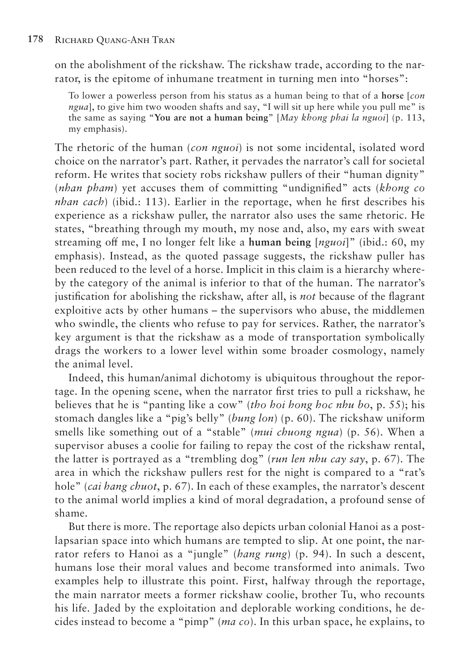on the abolishment of the rickshaw. The rickshaw trade, according to the narrator, is the epitome of inhumane treatment in turning men into "horses":

To lower a powerless person from his status as a human being to that of a **horse** [*con ngua*], to give him two wooden shafts and say, "I will sit up here while you pull me" is the same as saying "**You are not a human being**" [*May khong phai la nguoi*] (p. 113, my emphasis).

The rhetoric of the human (*con nguoi*) is not some incidental, isolated word choice on the narrator's part. Rather, it pervades the narrator's call for societal reform. He writes that society robs rickshaw pullers of their "human dignity" (*nhan pham*) yet accuses them of committing "undignified" acts (*khong co nhan cach*) (ibid.: 113). Earlier in the reportage, when he first describes his experience as a rickshaw puller, the narrator also uses the same rhetoric. He states, "breathing through my mouth, my nose and, also, my ears with sweat streaming off me, I no longer felt like a **human being** [*nguoi*]" (ibid.: 60, my emphasis). Instead, as the quoted passage suggests, the rickshaw puller has been reduced to the level of a horse. Implicit in this claim is a hierarchy whereby the category of the animal is inferior to that of the human. The narrator's justification for abolishing the rickshaw, after all, is *not* because of the flagrant exploitive acts by other humans – the supervisors who abuse, the middlemen who swindle, the clients who refuse to pay for services. Rather, the narrator's key argument is that the rickshaw as a mode of transportation symbolically drags the workers to a lower level within some broader cosmology, namely the animal level.

Indeed, this human/animal dichotomy is ubiquitous throughout the reportage. In the opening scene, when the narrator first tries to pull a rickshaw, he believes that he is "panting like a cow" (*tho hoi hong hoc nhu bo*, p. 55); his stomach dangles like a "pig's belly" (*bung lon*) (p. 60). The rickshaw uniform smells like something out of a "stable" (*mui chuong ngua*) (p. 56). When a supervisor abuses a coolie for failing to repay the cost of the rickshaw rental, the latter is portrayed as a "trembling dog" (*run len nhu cay say*, p. 67). The area in which the rickshaw pullers rest for the night is compared to a "rat's hole" (*cai hang chuot*, p. 67). In each of these examples, the narrator's descent to the animal world implies a kind of moral degradation, a profound sense of shame.

But there is more. The reportage also depicts urban colonial Hanoi as a postlapsarian space into which humans are tempted to slip. At one point, the narrator refers to Hanoi as a "jungle" (*hang rung*) (p. 94). In such a descent, humans lose their moral values and become transformed into animals. Two examples help to illustrate this point. First, halfway through the reportage, the main narrator meets a former rickshaw coolie, brother Tu, who recounts his life. Jaded by the exploitation and deplorable working conditions, he decides instead to become a "pimp" (*ma co*). In this urban space, he explains, to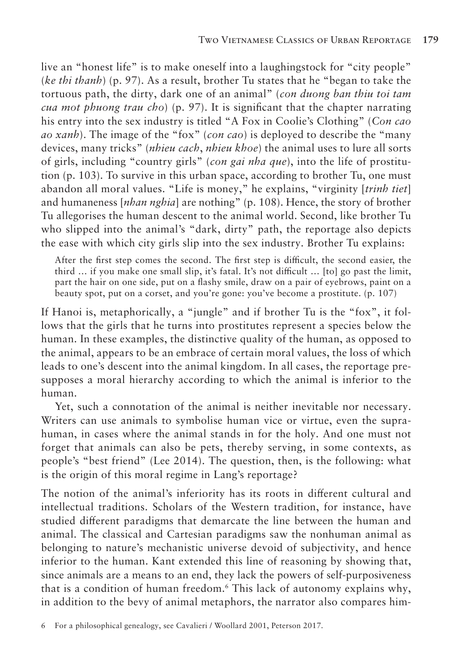live an "honest life" is to make oneself into a laughingstock for "city people" (*ke thi thanh*) (p. 97). As a result, brother Tu states that he "began to take the tortuous path, the dirty, dark one of an animal" (*con duong ban thiu toi tam cua mot phuong trau cho*) (p. 97). It is significant that the chapter narrating his entry into the sex industry is titled "A Fox in Coolie's Clothing" (*Con cao ao xanh*). The image of the "fox" (*con cao*) is deployed to describe the "many devices, many tricks" (*nhieu cach*, *nhieu khoe*) the animal uses to lure all sorts of girls, including "country girls" (*con gai nha que*), into the life of prostitution (p. 103). To survive in this urban space, according to brother Tu, one must abandon all moral values. "Life is money," he explains, "virginity [*trinh tiet*] and humaneness [*nhan nghia*] are nothing" (p. 108). Hence, the story of brother Tu allegorises the human descent to the animal world. Second, like brother Tu who slipped into the animal's "dark, dirty" path, the reportage also depicts the ease with which city girls slip into the sex industry. Brother Tu explains:

After the first step comes the second. The first step is difficult, the second easier, the third … if you make one small slip, it's fatal. It's not difficult … [to] go past the limit, part the hair on one side, put on a flashy smile, draw on a pair of eyebrows, paint on a beauty spot, put on a corset, and you're gone: you've become a prostitute. (p. 107)

If Hanoi is, metaphorically, a "jungle" and if brother Tu is the "fox", it follows that the girls that he turns into prostitutes represent a species below the human. In these examples, the distinctive quality of the human, as opposed to the animal, appears to be an embrace of certain moral values, the loss of which leads to one's descent into the animal kingdom. In all cases, the reportage presupposes a moral hierarchy according to which the animal is inferior to the human.

Yet, such a connotation of the animal is neither inevitable nor necessary. Writers can use animals to symbolise human vice or virtue, even the suprahuman, in cases where the animal stands in for the holy. And one must not forget that animals can also be pets, thereby serving, in some contexts, as people's "best friend" (Lee 2014). The question, then, is the following: what is the origin of this moral regime in Lang's reportage?

The notion of the animal's inferiority has its roots in different cultural and intellectual traditions. Scholars of the Western tradition, for instance, have studied different paradigms that demarcate the line between the human and animal. The classical and Cartesian paradigms saw the nonhuman animal as belonging to nature's mechanistic universe devoid of subjectivity, and hence inferior to the human. Kant extended this line of reasoning by showing that, since animals are a means to an end, they lack the powers of self-purposiveness that is a condition of human freedom.6 This lack of autonomy explains why, in addition to the bevy of animal metaphors, the narrator also compares him-

<sup>6</sup> For a philosophical genealogy, see Cavalieri / Woollard 2001, Peterson 2017.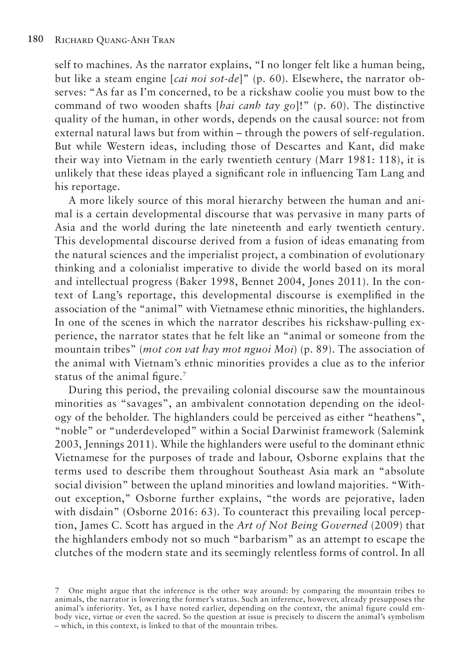self to machines. As the narrator explains, "I no longer felt like a human being, but like a steam engine [*cai noi sot-de*]" (p. 60). Elsewhere, the narrator observes: "As far as I'm concerned, to be a rickshaw coolie you must bow to the command of two wooden shafts [*hai canh tay go*]!" (p. 60). The distinctive quality of the human, in other words, depends on the causal source: not from external natural laws but from within – through the powers of self-regulation. But while Western ideas, including those of Descartes and Kant, did make their way into Vietnam in the early twentieth century (Marr 1981: 118), it is unlikely that these ideas played a significant role in influencing Tam Lang and his reportage.

A more likely source of this moral hierarchy between the human and animal is a certain developmental discourse that was pervasive in many parts of Asia and the world during the late nineteenth and early twentieth century. This developmental discourse derived from a fusion of ideas emanating from the natural sciences and the imperialist project, a combination of evolutionary thinking and a colonialist imperative to divide the world based on its moral and intellectual progress (Baker 1998, Bennet 2004, Jones 2011). In the context of Lang's reportage, this developmental discourse is exemplified in the association of the "animal" with Vietnamese ethnic minorities, the highlanders. In one of the scenes in which the narrator describes his rickshaw-pulling experience, the narrator states that he felt like an "animal or someone from the mountain tribes" (*mot con vat hay mot nguoi Moi*) (p. 89). The association of the animal with Vietnam's ethnic minorities provides a clue as to the inferior status of the animal figure.<sup>7</sup>

During this period, the prevailing colonial discourse saw the mountainous minorities as "savages", an ambivalent connotation depending on the ideology of the beholder. The highlanders could be perceived as either "heathens", "noble" or "underdeveloped" within a Social Darwinist framework (Salemink 2003, Jennings 2011). While the highlanders were useful to the dominant ethnic Vietnamese for the purposes of trade and labour, Osborne explains that the terms used to describe them throughout Southeast Asia mark an "absolute social division" between the upland minorities and lowland majorities. "Without exception," Osborne further explains, "the words are pejorative, laden with disdain" (Osborne 2016: 63). To counteract this prevailing local perception, James C. Scott has argued in the *Art of Not Being Governed* (2009) that the highlanders embody not so much "barbarism" as an attempt to escape the clutches of the modern state and its seemingly relentless forms of control. In all

<sup>7</sup> One might argue that the inference is the other way around: by comparing the mountain tribes to animals, the narrator is lowering the former's status. Such an inference, however, already presupposes the animal's inferiority. Yet, as I have noted earlier, depending on the context, the animal figure could embody vice, virtue or even the sacred. So the question at issue is precisely to discern the animal's symbolism – which, in this context, is linked to that of the mountain tribes.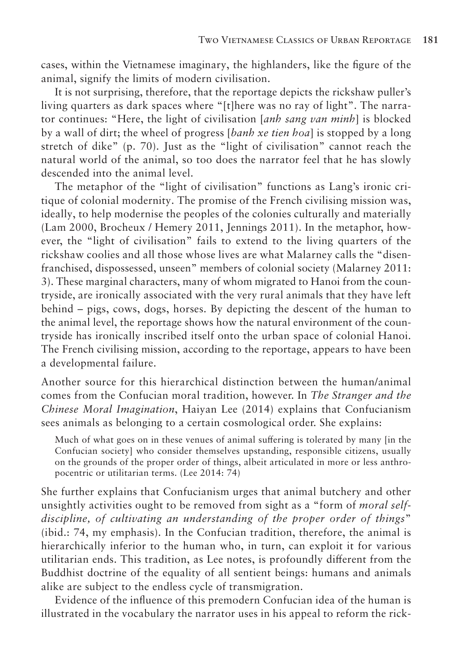cases, within the Vietnamese imaginary, the highlanders, like the figure of the animal, signify the limits of modern civilisation.

It is not surprising, therefore, that the reportage depicts the rickshaw puller's living quarters as dark spaces where "[t]here was no ray of light". The narrator continues: "Here, the light of civilisation [*anh sang van minh*] is blocked by a wall of dirt; the wheel of progress [*banh xe tien hoa*] is stopped by a long stretch of dike" (p. 70). Just as the "light of civilisation" cannot reach the natural world of the animal, so too does the narrator feel that he has slowly descended into the animal level.

The metaphor of the "light of civilisation" functions as Lang's ironic critique of colonial modernity. The promise of the French civilising mission was, ideally, to help modernise the peoples of the colonies culturally and materially (Lam 2000, Brocheux / Hemery 2011, Jennings 2011). In the metaphor, however, the "light of civilisation" fails to extend to the living quarters of the rickshaw coolies and all those whose lives are what Malarney calls the "disenfranchised, dispossessed, unseen" members of colonial society (Malarney 2011: 3). These marginal characters, many of whom migrated to Hanoi from the countryside, are ironically associated with the very rural animals that they have left behind – pigs, cows, dogs, horses. By depicting the descent of the human to the animal level, the reportage shows how the natural environment of the countryside has ironically inscribed itself onto the urban space of colonial Hanoi. The French civilising mission, according to the reportage, appears to have been a developmental failure.

Another source for this hierarchical distinction between the human/animal comes from the Confucian moral tradition, however. In *The Stranger and the Chinese Moral Imagination*, Haiyan Lee (2014) explains that Confucianism sees animals as belonging to a certain cosmological order. She explains:

Much of what goes on in these venues of animal suffering is tolerated by many [in the Confucian society] who consider themselves upstanding, responsible citizens, usually on the grounds of the proper order of things, albeit articulated in more or less anthropocentric or utilitarian terms. (Lee 2014: 74)

She further explains that Confucianism urges that animal butchery and other unsightly activities ought to be removed from sight as a "form of *moral selfdiscipline, of cultivating an understanding of the proper order of things*" (ibid.: 74, my emphasis). In the Confucian tradition, therefore, the animal is hierarchically inferior to the human who, in turn, can exploit it for various utilitarian ends. This tradition, as Lee notes, is profoundly different from the Buddhist doctrine of the equality of all sentient beings: humans and animals alike are subject to the endless cycle of transmigration.

Evidence of the influence of this premodern Confucian idea of the human is illustrated in the vocabulary the narrator uses in his appeal to reform the rick-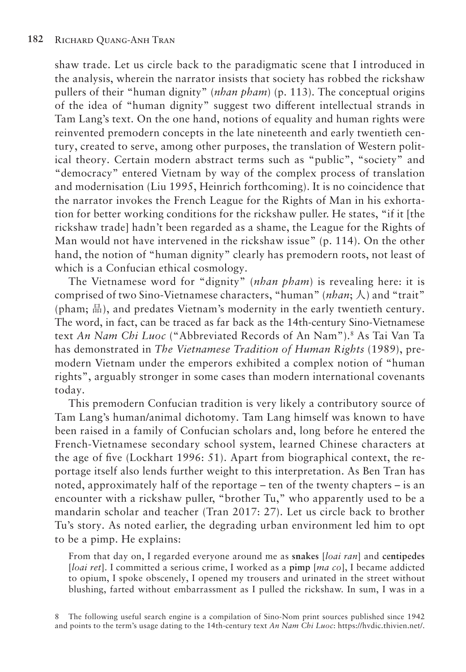shaw trade. Let us circle back to the paradigmatic scene that I introduced in the analysis, wherein the narrator insists that society has robbed the rickshaw pullers of their "human dignity" (*nhan pham*) (p. 113). The conceptual origins of the idea of "human dignity" suggest two different intellectual strands in Tam Lang's text. On the one hand, notions of equality and human rights were reinvented premodern concepts in the late nineteenth and early twentieth century, created to serve, among other purposes, the translation of Western political theory. Certain modern abstract terms such as "public", "society" and "democracy" entered Vietnam by way of the complex process of translation and modernisation (Liu 1995, Heinrich forthcoming). It is no coincidence that the narrator invokes the French League for the Rights of Man in his exhortation for better working conditions for the rickshaw puller. He states, "if it [the rickshaw trade] hadn't been regarded as a shame, the League for the Rights of Man would not have intervened in the rickshaw issue" (p. 114). On the other hand, the notion of "human dignity" clearly has premodern roots, not least of which is a Confucian ethical cosmology.

The Vietnamese word for "dignity" (*nhan pham*) is revealing here: it is comprised of two Sino-Vietnamese characters, "human" (*nhan*; 人) and "trait" (pham; 品), and predates Vietnam's modernity in the early twentieth century. The word, in fact, can be traced as far back as the 14th-century Sino-Vietnamese text *An Nam Chi Luoc* ("Abbreviated Records of An Nam").8 As Tai Van Ta has demonstrated in *The Vietnamese Tradition of Human Rights* (1989), premodern Vietnam under the emperors exhibited a complex notion of "human rights", arguably stronger in some cases than modern international covenants today.

This premodern Confucian tradition is very likely a contributory source of Tam Lang's human/animal dichotomy. Tam Lang himself was known to have been raised in a family of Confucian scholars and, long before he entered the French-Vietnamese secondary school system, learned Chinese characters at the age of five (Lockhart 1996: 51). Apart from biographical context, the reportage itself also lends further weight to this interpretation. As Ben Tran has noted, approximately half of the reportage – ten of the twenty chapters – is an encounter with a rickshaw puller, "brother Tu," who apparently used to be a mandarin scholar and teacher (Tran 2017: 27). Let us circle back to brother Tu's story. As noted earlier, the degrading urban environment led him to opt to be a pimp. He explains:

From that day on, I regarded everyone around me as **snakes** [*loai ran*] and **centipedes**  [*loai ret*]. I committed a serious crime, I worked as a **pimp** [*ma co*], I became addicted to opium, I spoke obscenely, I opened my trousers and urinated in the street without blushing, farted without embarrassment as I pulled the rickshaw. In sum, I was in a

8 The following useful search engine is a compilation of Sino-Nom print sources published since 1942 and points to the term's usage dating to the 14th-century text *An Nam Chi Luoc*: https://hvdic.thivien.net/.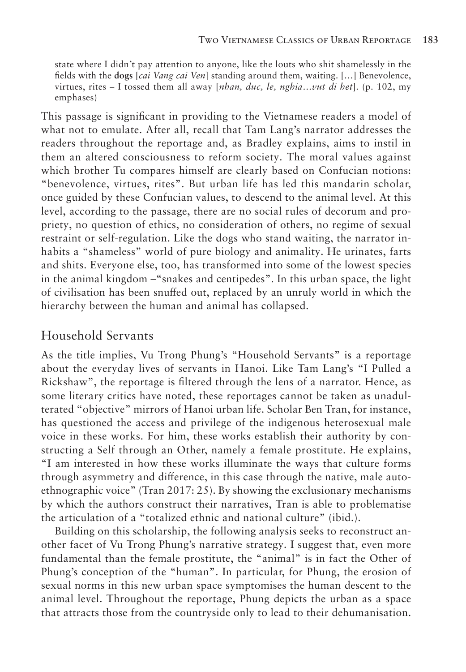state where I didn't pay attention to anyone, like the louts who shit shamelessly in the fields with the **dogs** [*cai Vang cai Ven*] standing around them, waiting. […] Benevolence, virtues, rites – I tossed them all away [*nhan, duc, le, nghia*…*vut di het*]. (p. 102, my emphases)

This passage is significant in providing to the Vietnamese readers a model of what not to emulate. After all, recall that Tam Lang's narrator addresses the readers throughout the reportage and, as Bradley explains, aims to instil in them an altered consciousness to reform society. The moral values against which brother Tu compares himself are clearly based on Confucian notions: "benevolence, virtues, rites". But urban life has led this mandarin scholar, once guided by these Confucian values, to descend to the animal level. At this level, according to the passage, there are no social rules of decorum and propriety, no question of ethics, no consideration of others, no regime of sexual restraint or self-regulation. Like the dogs who stand waiting, the narrator inhabits a "shameless" world of pure biology and animality. He urinates, farts and shits. Everyone else, too, has transformed into some of the lowest species in the animal kingdom –"snakes and centipedes". In this urban space, the light of civilisation has been snuffed out, replaced by an unruly world in which the hierarchy between the human and animal has collapsed.

#### Household Servants

As the title implies, Vu Trong Phung's "Household Servants" is a reportage about the everyday lives of servants in Hanoi. Like Tam Lang's "I Pulled a Rickshaw", the reportage is filtered through the lens of a narrator. Hence, as some literary critics have noted, these reportages cannot be taken as unadulterated "objective" mirrors of Hanoi urban life. Scholar Ben Tran, for instance, has questioned the access and privilege of the indigenous heterosexual male voice in these works. For him, these works establish their authority by constructing a Self through an Other, namely a female prostitute. He explains, "I am interested in how these works illuminate the ways that culture forms through asymmetry and difference, in this case through the native, male autoethnographic voice" (Tran 2017: 25). By showing the exclusionary mechanisms by which the authors construct their narratives, Tran is able to problematise the articulation of a "totalized ethnic and national culture" (ibid.).

Building on this scholarship, the following analysis seeks to reconstruct another facet of Vu Trong Phung's narrative strategy. I suggest that, even more fundamental than the female prostitute, the "animal" is in fact the Other of Phung's conception of the "human". In particular, for Phung, the erosion of sexual norms in this new urban space symptomises the human descent to the animal level. Throughout the reportage, Phung depicts the urban as a space that attracts those from the countryside only to lead to their dehumanisation.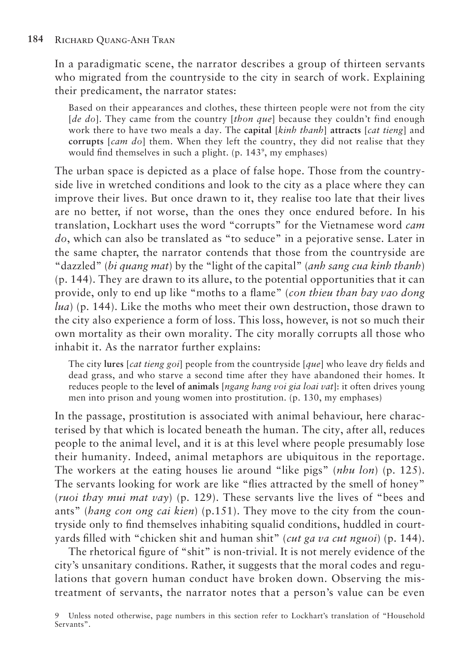In a paradigmatic scene, the narrator describes a group of thirteen servants who migrated from the countryside to the city in search of work. Explaining their predicament, the narrator states:

Based on their appearances and clothes, these thirteen people were not from the city [*de do*]. They came from the country [*thon que*] because they couldn't find enough work there to have two meals a day. The **capital** [*kinh thanh*] **attracts** [*cat tieng*] and **corrupts** [*cam do*] them. When they left the country, they did not realise that they would find themselves in such a plight. (p. 143<sup>9</sup>, my emphases)

The urban space is depicted as a place of false hope. Those from the countryside live in wretched conditions and look to the city as a place where they can improve their lives. But once drawn to it, they realise too late that their lives are no better, if not worse, than the ones they once endured before. In his translation, Lockhart uses the word "corrupts" for the Vietnamese word *cam do*, which can also be translated as "to seduce" in a pejorative sense. Later in the same chapter, the narrator contends that those from the countryside are "dazzled" (*bi quang mat*) by the "light of the capital" (*anh sang cua kinh thanh*) (p. 144). They are drawn to its allure, to the potential opportunities that it can provide, only to end up like "moths to a flame" (*con thieu than bay vao dong lua*) (p. 144). Like the moths who meet their own destruction, those drawn to the city also experience a form of loss. This loss, however, is not so much their own mortality as their own morality. The city morally corrupts all those who inhabit it. As the narrator further explains:

The city **lures** [*cat tieng goi*] people from the countryside [*que*] who leave dry fields and dead grass, and who starve a second time after they have abandoned their homes. It reduces people to the **level of animals** [*ngang hang voi gia loai vat*]: it often drives young men into prison and young women into prostitution. (p. 130, my emphases)

In the passage, prostitution is associated with animal behaviour, here characterised by that which is located beneath the human. The city, after all, reduces people to the animal level, and it is at this level where people presumably lose their humanity. Indeed, animal metaphors are ubiquitous in the reportage. The workers at the eating houses lie around "like pigs" (*nhu lon*) (p. 125). The servants looking for work are like "flies attracted by the smell of honey" (*ruoi thay mui mat vay*) (p. 129). These servants live the lives of "bees and ants" (*hang con ong cai kien*) (p.151). They move to the city from the countryside only to find themselves inhabiting squalid conditions, huddled in courtyards filled with "chicken shit and human shit" (*cut ga va cut nguoi*) (p. 144).

The rhetorical figure of "shit" is non-trivial. It is not merely evidence of the city's unsanitary conditions. Rather, it suggests that the moral codes and regulations that govern human conduct have broken down. Observing the mistreatment of servants, the narrator notes that a person's value can be even

<sup>9</sup> Unless noted otherwise, page numbers in this section refer to Lockhart's translation of "Household Servants".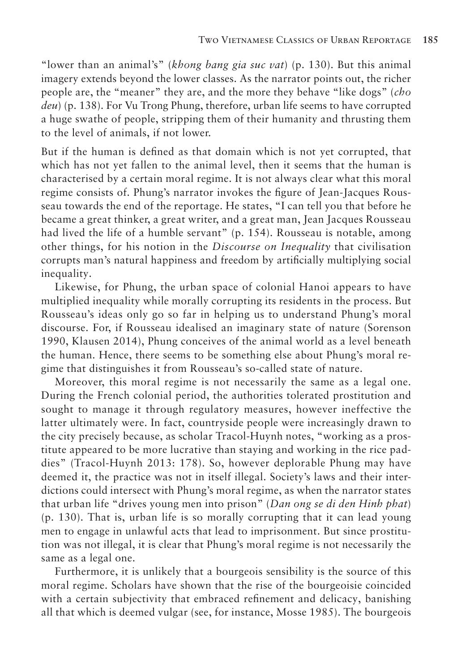"lower than an animal's" (*khong bang gia suc vat*) (p. 130). But this animal imagery extends beyond the lower classes. As the narrator points out, the richer people are, the "meaner" they are, and the more they behave "like dogs" (*cho deu*) (p. 138). For Vu Trong Phung, therefore, urban life seems to have corrupted a huge swathe of people, stripping them of their humanity and thrusting them to the level of animals, if not lower.

But if the human is defined as that domain which is not yet corrupted, that which has not yet fallen to the animal level, then it seems that the human is characterised by a certain moral regime. It is not always clear what this moral regime consists of. Phung's narrator invokes the figure of Jean-Jacques Rousseau towards the end of the reportage. He states, "I can tell you that before he became a great thinker, a great writer, and a great man, Jean Jacques Rousseau had lived the life of a humble servant" (p. 154). Rousseau is notable, among other things, for his notion in the *Discourse on Inequality* that civilisation corrupts man's natural happiness and freedom by artificially multiplying social inequality.

Likewise, for Phung, the urban space of colonial Hanoi appears to have multiplied inequality while morally corrupting its residents in the process. But Rousseau's ideas only go so far in helping us to understand Phung's moral discourse. For, if Rousseau idealised an imaginary state of nature (Sorenson 1990, Klausen 2014), Phung conceives of the animal world as a level beneath the human. Hence, there seems to be something else about Phung's moral regime that distinguishes it from Rousseau's so-called state of nature.

Moreover, this moral regime is not necessarily the same as a legal one. During the French colonial period, the authorities tolerated prostitution and sought to manage it through regulatory measures, however ineffective the latter ultimately were. In fact, countryside people were increasingly drawn to the city precisely because, as scholar Tracol-Huynh notes, "working as a prostitute appeared to be more lucrative than staying and working in the rice paddies" (Tracol-Huynh 2013: 178). So, however deplorable Phung may have deemed it, the practice was not in itself illegal. Society's laws and their interdictions could intersect with Phung's moral regime, as when the narrator states that urban life "drives young men into prison" (*Dan ong se di den Hinh phat*) (p. 130). That is, urban life is so morally corrupting that it can lead young men to engage in unlawful acts that lead to imprisonment. But since prostitution was not illegal, it is clear that Phung's moral regime is not necessarily the same as a legal one.

Furthermore, it is unlikely that a bourgeois sensibility is the source of this moral regime. Scholars have shown that the rise of the bourgeoisie coincided with a certain subjectivity that embraced refinement and delicacy, banishing all that which is deemed vulgar (see, for instance, Mosse 1985). The bourgeois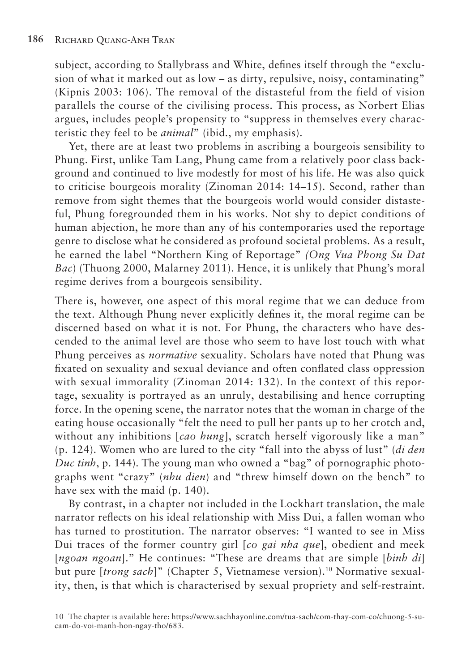subject, according to Stallybrass and White, defines itself through the "exclusion of what it marked out as low – as dirty, repulsive, noisy, contaminating" (Kipnis 2003: 106). The removal of the distasteful from the field of vision parallels the course of the civilising process. This process, as Norbert Elias argues, includes people's propensity to "suppress in themselves every characteristic they feel to be *animal*" (ibid., my emphasis).

Yet, there are at least two problems in ascribing a bourgeois sensibility to Phung. First, unlike Tam Lang, Phung came from a relatively poor class background and continued to live modestly for most of his life. He was also quick to criticise bourgeois morality (Zinoman 2014: 14–15). Second, rather than remove from sight themes that the bourgeois world would consider distasteful, Phung foregrounded them in his works. Not shy to depict conditions of human abjection, he more than any of his contemporaries used the reportage genre to disclose what he considered as profound societal problems. As a result, he earned the label "Northern King of Reportage" *(Ong Vua Phong Su Dat Bac*) (Thuong 2000, Malarney 2011). Hence, it is unlikely that Phung's moral regime derives from a bourgeois sensibility.

There is, however, one aspect of this moral regime that we can deduce from the text. Although Phung never explicitly defines it, the moral regime can be discerned based on what it is not. For Phung, the characters who have descended to the animal level are those who seem to have lost touch with what Phung perceives as *normative* sexuality. Scholars have noted that Phung was fixated on sexuality and sexual deviance and often conflated class oppression with sexual immorality (Zinoman 2014: 132). In the context of this reportage, sexuality is portrayed as an unruly, destabilising and hence corrupting force. In the opening scene, the narrator notes that the woman in charge of the eating house occasionally "felt the need to pull her pants up to her crotch and, without any inhibitions [*cao hung*], scratch herself vigorously like a man" (p. 124). Women who are lured to the city "fall into the abyss of lust" (*di den Duc tinh*, p. 144). The young man who owned a "bag" of pornographic photographs went "crazy" (*nhu dien*) and "threw himself down on the bench" to have sex with the maid (p. 140).

By contrast, in a chapter not included in the Lockhart translation, the male narrator reflects on his ideal relationship with Miss Dui, a fallen woman who has turned to prostitution. The narrator observes: "I wanted to see in Miss Dui traces of the former country girl [*co gai nha que*], obedient and meek [*ngoan ngoan*]." He continues: "These are dreams that are simple [*binh di*] but pure [trong sach]" (Chapter 5, Vietnamese version).<sup>10</sup> Normative sexuality, then, is that which is characterised by sexual propriety and self-restraint.

<sup>10</sup> The chapter is available here: https://www.sachhayonline.com/tua-sach/com-thay-com-co/chuong-5-sucam-do-voi-manh-hon-ngay-tho/683.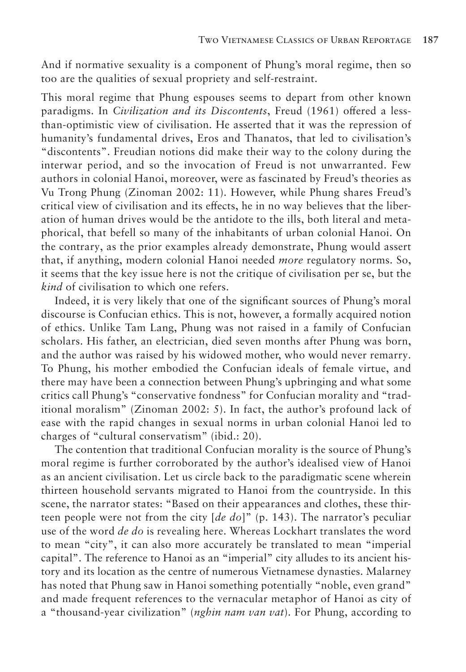And if normative sexuality is a component of Phung's moral regime, then so too are the qualities of sexual propriety and self-restraint.

This moral regime that Phung espouses seems to depart from other known paradigms. In *Civilization and its Discontents*, Freud (1961) offered a lessthan-optimistic view of civilisation. He asserted that it was the repression of humanity's fundamental drives, Eros and Thanatos, that led to civilisation's "discontents". Freudian notions did make their way to the colony during the interwar period, and so the invocation of Freud is not unwarranted. Few authors in colonial Hanoi, moreover, were as fascinated by Freud's theories as Vu Trong Phung (Zinoman 2002: 11). However, while Phung shares Freud's critical view of civilisation and its effects, he in no way believes that the liberation of human drives would be the antidote to the ills, both literal and metaphorical, that befell so many of the inhabitants of urban colonial Hanoi. On the contrary, as the prior examples already demonstrate, Phung would assert that, if anything, modern colonial Hanoi needed *more* regulatory norms. So, it seems that the key issue here is not the critique of civilisation per se, but the *kind* of civilisation to which one refers.

Indeed, it is very likely that one of the significant sources of Phung's moral discourse is Confucian ethics. This is not, however, a formally acquired notion of ethics. Unlike Tam Lang, Phung was not raised in a family of Confucian scholars. His father, an electrician, died seven months after Phung was born, and the author was raised by his widowed mother, who would never remarry. To Phung, his mother embodied the Confucian ideals of female virtue, and there may have been a connection between Phung's upbringing and what some critics call Phung's "conservative fondness" for Confucian morality and "traditional moralism" (Zinoman 2002: 5). In fact, the author's profound lack of ease with the rapid changes in sexual norms in urban colonial Hanoi led to charges of "cultural conservatism" (ibid.: 20).

The contention that traditional Confucian morality is the source of Phung's moral regime is further corroborated by the author's idealised view of Hanoi as an ancient civilisation. Let us circle back to the paradigmatic scene wherein thirteen household servants migrated to Hanoi from the countryside. In this scene, the narrator states: "Based on their appearances and clothes, these thirteen people were not from the city [*de do*]" (p. 143). The narrator's peculiar use of the word *de do* is revealing here. Whereas Lockhart translates the word to mean "city", it can also more accurately be translated to mean "imperial capital". The reference to Hanoi as an "imperial" city alludes to its ancient history and its location as the centre of numerous Vietnamese dynasties. Malarney has noted that Phung saw in Hanoi something potentially "noble, even grand" and made frequent references to the vernacular metaphor of Hanoi as city of a "thousand-year civilization" (*nghin nam van vat*). For Phung, according to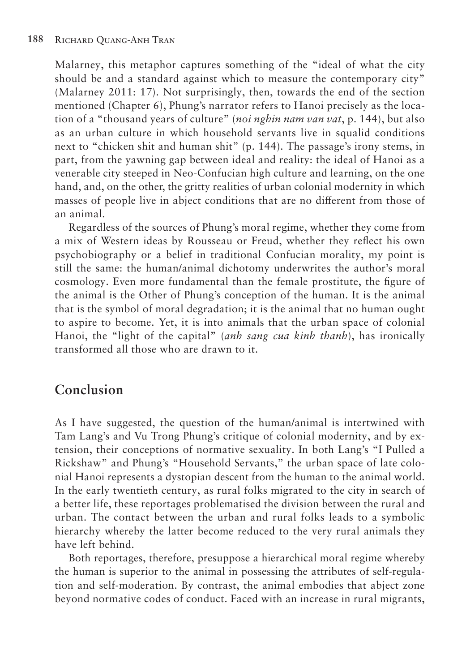Malarney, this metaphor captures something of the "ideal of what the city should be and a standard against which to measure the contemporary city" (Malarney 2011: 17). Not surprisingly, then, towards the end of the section mentioned (Chapter 6), Phung's narrator refers to Hanoi precisely as the location of a "thousand years of culture" (*noi nghin nam van vat*, p. 144), but also as an urban culture in which household servants live in squalid conditions next to "chicken shit and human shit" (p. 144). The passage's irony stems, in part, from the yawning gap between ideal and reality: the ideal of Hanoi as a venerable city steeped in Neo-Confucian high culture and learning, on the one hand, and, on the other, the gritty realities of urban colonial modernity in which masses of people live in abject conditions that are no different from those of an animal.

Regardless of the sources of Phung's moral regime, whether they come from a mix of Western ideas by Rousseau or Freud, whether they reflect his own psychobiography or a belief in traditional Confucian morality, my point is still the same: the human/animal dichotomy underwrites the author's moral cosmology. Even more fundamental than the female prostitute, the figure of the animal is the Other of Phung's conception of the human. It is the animal that is the symbol of moral degradation; it is the animal that no human ought to aspire to become. Yet, it is into animals that the urban space of colonial Hanoi, the "light of the capital" (*anh sang cua kinh thanh*), has ironically transformed all those who are drawn to it.

# **Conclusion**

As I have suggested, the question of the human/animal is intertwined with Tam Lang's and Vu Trong Phung's critique of colonial modernity, and by extension, their conceptions of normative sexuality. In both Lang's "I Pulled a Rickshaw" and Phung's "Household Servants," the urban space of late colonial Hanoi represents a dystopian descent from the human to the animal world. In the early twentieth century, as rural folks migrated to the city in search of a better life, these reportages problematised the division between the rural and urban. The contact between the urban and rural folks leads to a symbolic hierarchy whereby the latter become reduced to the very rural animals they have left behind.

Both reportages, therefore, presuppose a hierarchical moral regime whereby the human is superior to the animal in possessing the attributes of self-regulation and self-moderation. By contrast, the animal embodies that abject zone beyond normative codes of conduct. Faced with an increase in rural migrants,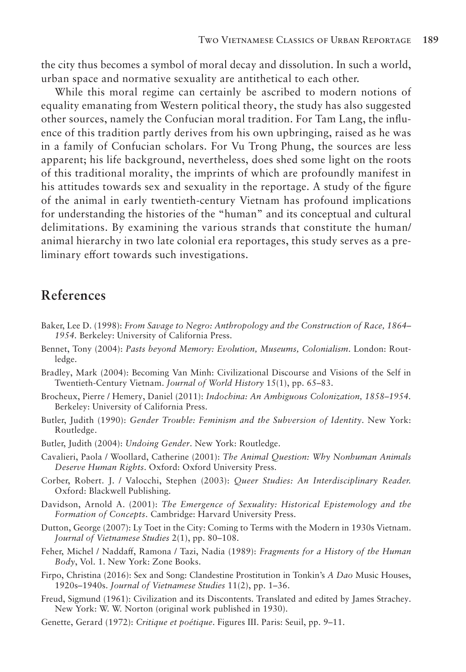the city thus becomes a symbol of moral decay and dissolution. In such a world, urban space and normative sexuality are antithetical to each other.

While this moral regime can certainly be ascribed to modern notions of equality emanating from Western political theory, the study has also suggested other sources, namely the Confucian moral tradition. For Tam Lang, the influence of this tradition partly derives from his own upbringing, raised as he was in a family of Confucian scholars. For Vu Trong Phung, the sources are less apparent; his life background, nevertheless, does shed some light on the roots of this traditional morality, the imprints of which are profoundly manifest in his attitudes towards sex and sexuality in the reportage. A study of the figure of the animal in early twentieth-century Vietnam has profound implications for understanding the histories of the "human" and its conceptual and cultural delimitations. By examining the various strands that constitute the human/ animal hierarchy in two late colonial era reportages, this study serves as a preliminary effort towards such investigations.

## **References**

- Baker, Lee D. (1998): *From Savage to Negro: Anthropology and the Construction of Race, 1864– 1954.* Berkeley: University of California Press.
- Bennet, Tony (2004): *Pasts beyond Memory: Evolution, Museums, Colonialism*. London: Routledge.
- Bradley, Mark (2004): Becoming Van Minh: Civilizational Discourse and Visions of the Self in Twentieth-Century Vietnam. *Journal of World History* 15(1), pp. 65–83.
- Brocheux, Pierre / Hemery, Daniel (2011): *Indochina: An Ambiguous Colonization, 1858–1954.*  Berkeley: University of California Press.
- Butler, Judith (1990): *Gender Trouble: Feminism and the Subversion of Identity*. New York: Routledge.
- Butler, Judith (2004): *Undoing Gender*. New York: Routledge.
- Cavalieri, Paola / Woollard, Catherine (2001): *The Animal Question: Why Nonhuman Animals Deserve Human Rights*. Oxford: Oxford University Press.
- Corber, Robert. J. / Valocchi, Stephen (2003): *Queer Studies: An Interdisciplinary Reader.* Oxford: Blackwell Publishing.
- Davidson, Arnold A. (2001): *The Emergence of Sexuality: Historical Epistemology and the Formation of Concepts*. Cambridge: Harvard University Press.
- Dutton, George (2007): Ly Toet in the City: Coming to Terms with the Modern in 1930s Vietnam. *Journal of Vietnamese Studies* 2(1), pp. 80–108.
- Feher, Michel / Naddaff, Ramona / Tazi, Nadia (1989): *Fragments for a History of the Human Body*, Vol. 1. New York: Zone Books.
- Firpo, Christina (2016): Sex and Song: Clandestine Prostitution in Tonkin's *A Dao* Music Houses, 1920s–1940s. *Journal of Vietnamese Studies* 11(2), pp. 1–36.
- Freud, Sigmund (1961): Civilization and its Discontents. Translated and edited by James Strachey. New York: W. W. Norton (original work published in 1930).
- Genette, Gerard (1972): *Critique et poétique*. Figures III. Paris: Seuil, pp. 9–11.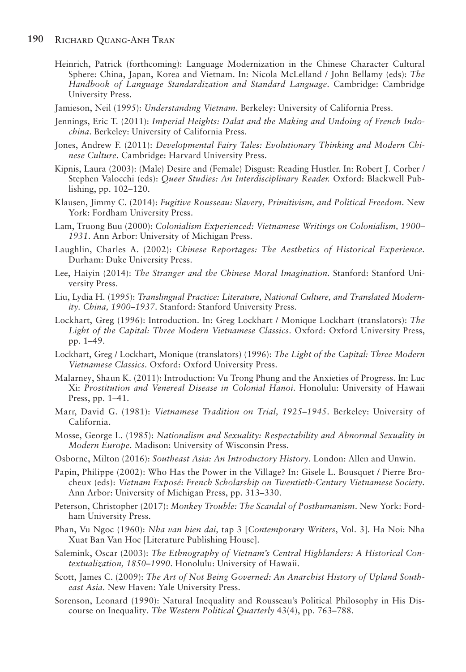Heinrich, Patrick (forthcoming): Language Modernization in the Chinese Character Cultural Sphere: China, Japan, Korea and Vietnam. In: Nicola McLelland / John Bellamy (eds): *The Handbook of Language Standardization and Standard Language*. Cambridge: Cambridge University Press.

Jamieson, Neil (1995): *Understanding Vietnam*. Berkeley: University of California Press.

- Jennings, Eric T. (2011): *Imperial Heights: Dalat and the Making and Undoing of French Indochina*. Berkeley: University of California Press.
- Jones, Andrew F. (2011): *Developmental Fairy Tales: Evolutionary Thinking and Modern Chinese Culture*. Cambridge: Harvard University Press.
- Kipnis, Laura (2003): (Male) Desire and (Female) Disgust: Reading Hustler. In: Robert J. Corber / Stephen Valocchi (eds): *Queer Studies: An Interdisciplinary Reader.* Oxford: Blackwell Publishing, pp. 102–120.
- Klausen, Jimmy C. (2014): *Fugitive Rousseau: Slavery, Primitivism, and Political Freedom*. New York: Fordham University Press.
- Lam, Truong Buu (2000): *Colonialism Experienced: Vietnamese Writings on Colonialism, 1900– 1931*. Ann Arbor: University of Michigan Press.
- Laughlin, Charles A. (2002): *Chinese Reportages: The Aesthetics of Historical Experience.* Durham: Duke University Press.
- Lee, Haiyin (2014): *The Stranger and the Chinese Moral Imagination*. Stanford: Stanford University Press.
- Liu, Lydia H. (1995): *Translingual Practice: Literature, National Culture, and Translated Modernity. China, 1900–1937*. Stanford: Stanford University Press.
- Lockhart, Greg (1996): Introduction. In: Greg Lockhart / Monique Lockhart (translators): *The Light of the Capital: Three Modern Vietnamese Classics*. Oxford: Oxford University Press, pp. 1–49.
- Lockhart, Greg / Lockhart, Monique (translators) (1996): *The Light of the Capital: Three Modern Vietnamese Classics.* Oxford: Oxford University Press.
- Malarney, Shaun K. (2011): Introduction: Vu Trong Phung and the Anxieties of Progress. In: Luc Xi: *Prostitution and Venereal Disease in Colonial Hanoi*. Honolulu: University of Hawaii Press, pp. 1–41.
- Marr, David G. (1981): *Vietnamese Tradition on Trial, 1925–1945*. Berkeley: University of California.
- Mosse, George L. (1985): *Nationalism and Sexuality: Respectability and Abnormal Sexuality in Modern Europe*. Madison: University of Wisconsin Press.
- Osborne, Milton (2016): *Southeast Asia: An Introductory History*. London: Allen and Unwin.
- Papin, Philippe (2002): Who Has the Power in the Village? In: Gisele L. Bousquet / Pierre Brocheux (eds): *Vietnam Exposé: French Scholarship on Twentieth-Century Vietnamese Society.*  Ann Arbor: University of Michigan Press, pp. 313–330.
- Peterson, Christopher (2017): *Monkey Trouble: The Scandal of Posthumanism*. New York: Fordham University Press.
- Phan, Vu Ngoc (1960): *Nha van hien dai,* tap 3 [*Contemporary Writers*, Vol. 3]. Ha Noi: Nha Xuat Ban Van Hoc [Literature Publishing House].
- Salemink, Oscar (2003): *The Ethnography of Vietnam's Central Highlanders: A Historical Contextualization, 1850–1990*. Honolulu: University of Hawaii.
- Scott, James C. (2009): *The Art of Not Being Governed: An Anarchist History of Upland Southeast Asia*. New Haven: Yale University Press.
- Sorenson, Leonard (1990): Natural Inequality and Rousseau's Political Philosophy in His Discourse on Inequality. *The Western Political Quarterly* 43(4), pp. 763–788.